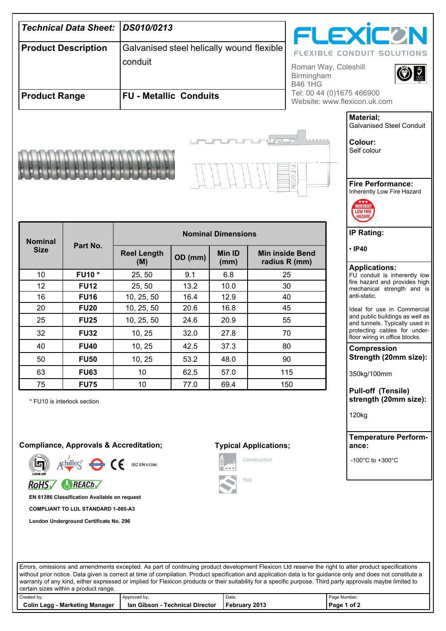|                                                                                   |                                              | DS010/0213                |                                           |                |  |                                         |                                                                   |  |
|-----------------------------------------------------------------------------------|----------------------------------------------|---------------------------|-------------------------------------------|----------------|--|-----------------------------------------|-------------------------------------------------------------------|--|
| <b>Technical Data Sheet:</b>                                                      |                                              |                           |                                           |                |  |                                         | <b>FLEXICON</b>                                                   |  |
| <b>Product Description</b>                                                        |                                              |                           | Galvanised steel helically wound flexible |                |  |                                         | <b>FLEXIBLE CONDUIT SOLUTIONS</b>                                 |  |
|                                                                                   |                                              |                           | conduit                                   |                |  | Roman Way, Coleshill                    |                                                                   |  |
|                                                                                   |                                              |                           |                                           |                |  | Birmingham<br><b>B46 1HG</b>            |                                                                   |  |
| <b>Product Range</b>                                                              |                                              |                           | <b>FU - Metallic Conduits</b>             |                |  |                                         | Tel: 00 44 (0)1675 466900<br>Website: www.flexicon.uk.com         |  |
|                                                                                   |                                              |                           |                                           |                |  |                                         |                                                                   |  |
|                                                                                   |                                              |                           |                                           |                |  |                                         | Material;<br><b>Galvanised Steel Conduit</b>                      |  |
|                                                                                   |                                              |                           |                                           |                |  |                                         | Colour:                                                           |  |
|                                                                                   |                                              |                           |                                           |                |  |                                         | Self colour                                                       |  |
|                                                                                   |                                              |                           |                                           |                |  |                                         |                                                                   |  |
|                                                                                   |                                              |                           |                                           |                |  |                                         | <b>Fire Performance:</b>                                          |  |
|                                                                                   | Inherently Low Fire Hazard                   |                           |                                           |                |  |                                         |                                                                   |  |
|                                                                                   |                                              |                           |                                           |                |  |                                         | <b>NHERENT</b><br><b>LOW FIRE</b>                                 |  |
|                                                                                   | HAZAR                                        |                           |                                           |                |  |                                         |                                                                   |  |
| <b>Nominal</b>                                                                    | Part No.                                     | <b>Nominal Dimensions</b> |                                           |                |  |                                         | <b>IP Rating:</b>                                                 |  |
| <b>Size</b>                                                                       |                                              | <b>Reel Length</b><br>(M) | OD (mm)                                   | Min ID<br>(mm) |  | <b>Min inside Bend</b><br>radius R (mm) | $\cdot$ IP40                                                      |  |
| 10                                                                                | <b>FU10*</b>                                 | 25, 50                    | 9.1                                       | 6.8            |  | 25                                      | <b>Applications:</b><br>FU conduit is inherently low              |  |
| 12                                                                                | <b>FU12</b>                                  | 25, 50                    | 13.2                                      | 10.0           |  | 30                                      | fire hazard and provides high<br>mechanical strength and is       |  |
| 16                                                                                | <b>FU16</b>                                  | 10, 25, 50                | 16.4                                      | 12.9           |  | 40                                      | anti-static.                                                      |  |
| 20                                                                                | <b>FU20</b>                                  | 10, 25, 50                | 20.6                                      | 16.8           |  | 45                                      | Ideal for use in Commercial                                       |  |
| 25                                                                                | <b>FU25</b>                                  | 10, 25, 50                | 24.6                                      | 20.9           |  | 55                                      | and public buildings as well as<br>and tunnels. Typically used in |  |
| 32                                                                                | <b>FU32</b>                                  | 10, 25                    | 32.0                                      | 27.8           |  | 70                                      | protecting cables for under-<br>floor wiring in office blocks.    |  |
| 40                                                                                | <b>FU40</b>                                  | 10, 25                    | 42.5                                      | 37.3           |  | 80                                      | <b>Compression</b>                                                |  |
| 50                                                                                | <b>FU50</b>                                  | 10, 25                    | 53.2                                      | 48.0           |  | 90                                      | Strength (20mm size):                                             |  |
| 63                                                                                | <b>FU63</b>                                  | 10                        | 62.5                                      | 57.0           |  | 115                                     | 350kg/100mm                                                       |  |
| 75                                                                                | <b>FU75</b>                                  | 10                        | 77.0                                      | 69.4           |  | 150                                     | <b>Pull-off (Tensile)</b>                                         |  |
|                                                                                   | * FU10 is interlock section                  |                           |                                           |                |  |                                         | strength (20mm size):                                             |  |
|                                                                                   |                                              |                           |                                           |                |  |                                         | 120 <sub>kg</sub>                                                 |  |
|                                                                                   |                                              |                           |                                           |                |  |                                         |                                                                   |  |
| <b>Compliance, Approvals &amp; Accreditation;</b><br><b>Typical Applications;</b> |                                              |                           |                                           |                |  |                                         | <b>Temperature Perform-</b><br>ance:                              |  |
| Construction<br>$Achilles$ (E<br><b>IEC EN 61386</b><br>l e e e                   |                                              |                           |                                           |                |  | -100 $^{\circ}$ C to +300 $^{\circ}$ C  |                                                                   |  |
| Rail<br>RoHS <b>REACH</b>                                                         |                                              |                           |                                           |                |  |                                         |                                                                   |  |
|                                                                                   | EN 61386 Classification Available on request |                           |                                           |                |  |                                         |                                                                   |  |
| <b>COMPLIANT TO LUL STANDARD 1-085-A3</b>                                         |                                              |                           |                                           |                |  |                                         |                                                                   |  |
|                                                                                   | London Underground Certificate No. 296       |                           |                                           |                |  |                                         |                                                                   |  |
|                                                                                   |                                              |                           |                                           |                |  |                                         |                                                                   |  |

Errors, omissions and amendments excepted. As part of continuing product development Flexicon Ltd reserve the right to alter product specifications without prior notice. Data given is correct at time of compilation. Product specification and application data is for guidance only and does not constitute a warranty of any kind, either expressed or implied for Flexicon products or their suitability for a specific purpose. Third party approvals maybe limited to certain sizes within a product range.

| Toortain bizco within a product range. |                                 |               |              |  |  |  |  |  |
|----------------------------------------|---------------------------------|---------------|--------------|--|--|--|--|--|
| Created by:                            | Approved by:                    | Date:         | Page Number; |  |  |  |  |  |
| <b>Colin Legg - Marketing Manager</b>  | lan Gibson - Technical Director | February 2013 | Page 1 of 2  |  |  |  |  |  |